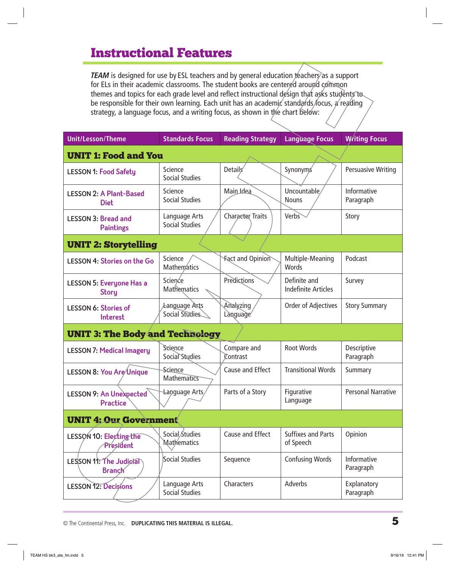# Instructional Features

*TEAM* is designed for use by ESL teachers and by general education *teachers* as a support for ELs in their academic classrooms. The student books are centered around common themes and topics for each grade level and reflect instructional design that asks students to be responsible for their own learning. Each unit has an academic standards focus, a reading strategy, a language focus, and a writing focus, as shown in the chart below:

| <b>Unit/Lesson/Theme</b>                        | <b>Standards Focus</b>                  | <b>Reading Strategy</b> | <b>Language Focus</b>                      | <b>Writing Focus</b>      |  |
|-------------------------------------------------|-----------------------------------------|-------------------------|--------------------------------------------|---------------------------|--|
| <b>UNIT 1: Food and You</b>                     |                                         |                         |                                            |                           |  |
| <b>LESSON 1: Food Safety</b>                    | Science<br><b>Social Studies</b>        | Details                 | Synonyms                                   | <b>Persuasive Writing</b> |  |
| <b>LESSON 2: A Plant-Based</b><br><b>Diet</b>   | Science<br><b>Social Studies</b>        | Main Idea               | Uncountable,<br><b>Nouns</b>               | Informative<br>Paragraph  |  |
| <b>LESSON 3: Bread and</b><br><b>Paintings</b>  | Language Arts<br><b>Social Studies</b>  | Character Traits        | Verbs                                      | Story                     |  |
| <b>UNIT 2: Storytelling</b>                     |                                         |                         |                                            |                           |  |
| <b>LESSON 4: Stories on the Go</b>              | Science<br><b>Mathematics</b>           | <b>Fact and Opinion</b> | Multiple-Meaning<br>Words                  | Podcast                   |  |
| <b>LESSON 5: Everyone Has a</b><br><b>Story</b> | Science<br>Mathematics                  | Predictions             | Definite and<br><b>Indefinite Articles</b> | Survey                    |  |
| <b>LESSON 6: Stories of</b><br><b>Interest</b>  | <i>A</i> anguage Arts<br>Social Studies | Analyzing<br>Language   | Order of Adjectives                        | <b>Story Summary</b>      |  |
| <b>UNIT 3: The Body and Technology</b>          |                                         |                         |                                            |                           |  |
| <b>LESSON 7: Medical Imagery</b>                | Science<br>Social Studies               | Compare and<br>Contrast | <b>Root Words</b>                          | Descriptive<br>Paragraph  |  |
| LESSON 8: You Are Unique                        | Science<br>Mathematics                  | Cause and Effect        | <b>Transitional Words</b>                  | Summary                   |  |
| <b>LESSON 9: An Unexpected</b><br>Practice      | Language Arts                           | Parts of a Story        | Figurative<br>Language                     | <b>Personal Narrative</b> |  |
| <b>UNIT 4: Our Government</b>                   |                                         |                         |                                            |                           |  |
| LESSON 10: Electing the<br>President            | Social Studies<br>Mathematics           | Cause and Effect        | <b>Suffixes and Parts</b><br>of Speech     | Opinion                   |  |
| LESSON 11: The Judicial<br><b>Branch</b>        | Social Studies                          | Sequence                | <b>Confusing Words</b>                     | Informative<br>Paragraph  |  |
| <b>LESSON 12: Decisions</b>                     | Language Arts<br><b>Social Studies</b>  | Characters              | Adverbs                                    | Explanatory<br>Paragraph  |  |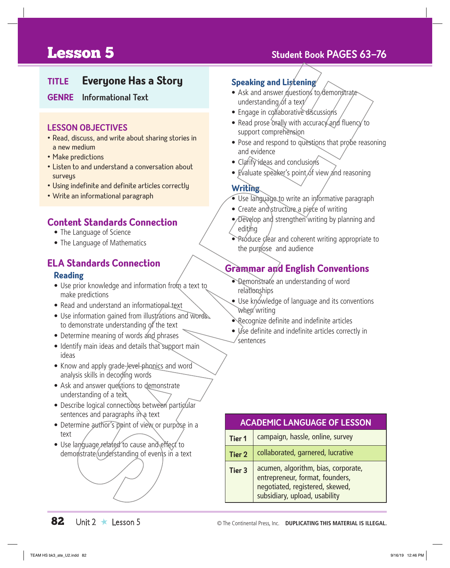# **Lesson 5** Student Book PAGES 63-76

# **TITLE Everyone Has a Story**

#### **GENRE Informational Text**

#### **LESSON OBJECTIVES**

- Read, discuss, and write about sharing stories in a new medium
- Make predictions
- Listen to and understand a conversation about surveys
- Using indefinite and definite articles correctly
- Write an informational paragraph

### **Content Standards Connection**

- The Language of Science
- The Language of Mathematics

## **ELA Standards Connection**

#### **Reading**

- Use prior knowledge and information from a text to make predictions
- Read and understand an informational text
- Use information gained from illustrations and words to demonstrate understanding of the text
- Determine meaning of words and phrases
- Identify main ideas and details that support main ideas
- Know and apply grade-level phonics and word analysis skills in decoding words
- Ask and answer questions to demonstrate understanding of a text
- Describe logical connections between particular sentences and paragraphs in a text
- Determine author's point of view or purpose in a text
- Use language related to cause and effect to demonstrate understanding of events in a text

#### **Speaking and Listening**

- Ask and answer questions to demonstrate understanding of a text/
- Engage in collaborative discussions
- Read prose orally with accuracy and fluency to support comprehension
- Pose and respond to questions that probe reasoning and evidence
- Clarify ideas and conclusions
- Evaluate speaker's point of view and reasoning

#### **Writing**

- Use language to write an informative paragraph
- Create and structure a piece of writing
- Develop and strengthen writing by planning and editing
- Próduce clear and coherent writing appropriate to the purpose and audience

# **Grammar and English Conventions**

- Demonstrate an understanding of word relationships
- Use knowledge of language and its conventions when writing
- Recognize definite and indefinite articles
- *Use definite and indefinite articles correctly in* sentences

## **ACADEMIC LANGUAGE OF LESSON Tier 1** Campaign, hassle, online, survey **Tier 2** collaborated, garnered, lucrative **Tier 3**  $\vert$  acumen, algorithm, bias, corporate, entrepreneur, format, founders, negotiated, registered, skewed,

subsidiary, upload, usability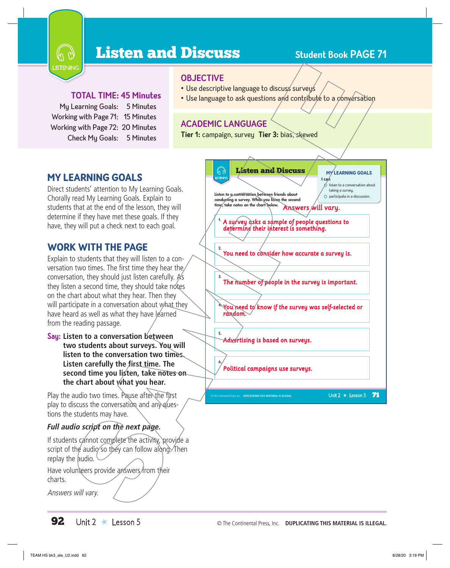

# **Listen and Discuss** Student Book PAGE 71

#### **TOTAL TIME: 45 Minutes**

My Learning Goals: 5 Minutes Working with Page 71: 15 Minutes Working with Page 72: 20 Minutes Check My Goals: 5 Minutes

#### **OBJECTIVE**

- Use descriptive language to discuss surveys
- Use language to ask questions and contribute to a conversation

#### **ACADEMIC LANGUAGE**

**Tier 1:** campaign, survey **Tier 3:** bias, skewed

### MY LEARNING GOALS

Direct students' attention to My Learning Goals. Chorally read My Learning Goals. Explain to students that at the end of the lesson, they will determine if they have met these goals. If they have, they will put a check next to each goal.

### WORK WITH THE PAGE

Explain to students that they will listen to a conversation two times. The first time they hear the conversation, they should just listen carefully.  $A\$ they listen a second time, they should take notes on the chart about what they hear. Then they will participate in a conversation about what they have heard as well as what they have learned from the reading passage.

**Say: Listen to a conversation between two students about surveys. You will listen to the conversation two times. Listen carefully the first time. The second time you listen, take notes on the chart about what you hear.**

Play the audio two times. Pause after the first play to discuss the conversation and any questions the students may have.

#### *Full audio script on the next page.*

If students cannot complete the activity, provide a script of the audio so they can follow along. Then replay the audio.

Have volunteers provide answers from their charts.

Answers will vary.

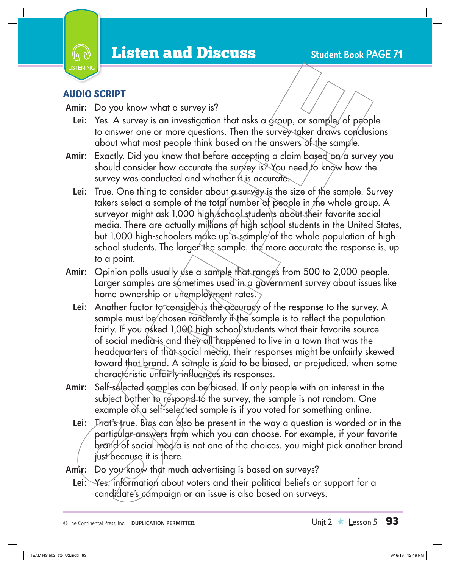

# AUDIO SCRIPT

- **Amir:** Do you know what a survey is?
	- Lei: Yes. A survey is an investigation that asks a group, or sample, of people to answer one or more questions. Then the survey taker draws conclusions about what most people think based on the answers of the sample.
- Amir: Exactly. Did you know that before accepting a claim based on/a survey you should consider how accurate the survey is? You need to know how the survey was conducted and whether it is accurate.
	- Lei: True. One thing to consider about *a survey* is the size of the sample. Survey takers select a sample of the total number of people in the whole group. A surveyor might ask 1,000 high/school students about their favorite social media. There are actually millions of high school students in the United States, but 1,000 high-schoolers make up a sample of the whole population of high school students. The larger the sample, the more accurate the response is, up to a point.
- Amir: Opinion polls usually use a sample that ranges from 500 to 2,000 people. Larger samples are sometimes used in a government survey about issues like home ownership or unemployment rates.
	- Lei: Another factor to consider is the accuracy of the response to the survey. A sample must be chosen randomly if the sample is to reflect the population fairly. If you asked 1,000 high school students what their favorite source of social media is and they all happened to live in a town that was the headquarters of that social media, their responses might be unfairly skewed toward that brand. A sample is said to be biased, or prejudiced, when some characteristic unfairly influences its responses.
- **Amir:** Self-selected samples can be biased. If only people with an interest in the subject bother to respond to the survey, the sample is not random. One example of a self-selected sample is if you voted for something online.
	- Lei: That's true. Bias can also be present in the way a question is worded or in the particular answers from which you can choose. For example, if your favorite brand of social media is not one of the choices, you might pick another brand just because it is there.
- Amir: Do you know that much advertising is based on surveys?
	- Lei: Yes, information about voters and their political beliefs or support for a candidate's campaign or an issue is also based on surveys.